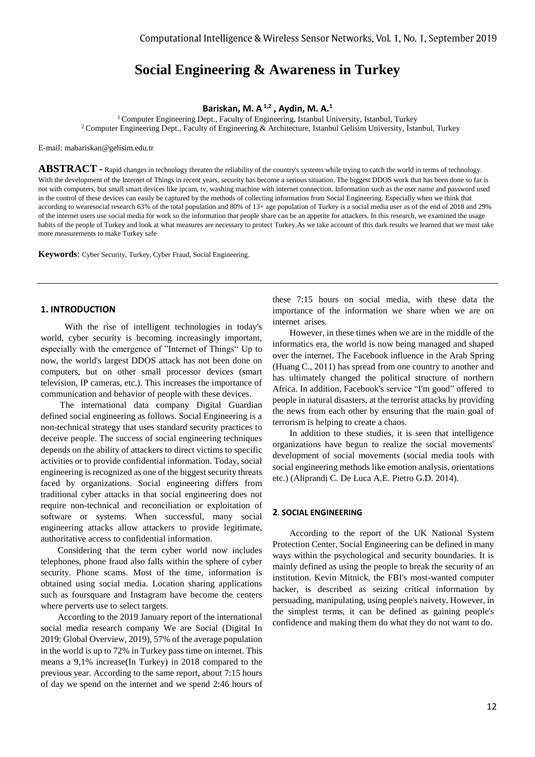# **Social Engineering & Awareness in Turkey**

# **Bariskan, M. A1,2 , Aydin, M. A.<sup>1</sup>**

<sup>1</sup> Computer Engineering Dept., Faculty of Engineering, Istanbul University, Istanbul, Turkey <sup>2</sup>Computer Engineering Dept., Faculty of Engineering & Architecture, Istanbul Gelisim University, İstanbul, Turkey

E-mail: mabariskan@gelisim.edu.tr

**ABSTRACT -** Rapid changes in technology threaten the reliability of the country's systems while trying to catch the world in terms of technology. With the development of the Internet of Things in recent years, security has become a serious situation. The biggest DDOS work that has been done so far is not with computers, but small smart devices like ipcam, tv, washing machine with internet connection. Information such as the user name and password used in the control of these devices can easily be captured by the methods of collecting information from Social Engineering. Especially when we think that according to wearesocial research 63% of the total population and 80% of 13+ age population of Turkey is a social media user as of the end of 2018 and 29% of the internet users use social media for work so the information that people share can be an appetite for attackers. In this research, we examined the usage habits of the people of Turkey and look at what measures are necessary to protect Turkey. As we take account of this dark results we learned that we must take more measurements to make Turkey safe

**Keywords**: Cyber Security, Turkey, Cyber Fraud, Social Engineering.

# **1. INTRODUCTION**

 With the rise of intelligent technologies in today's world, cyber security is becoming increasingly important, especially with the emergence of "Internet of Things" Up to now, the world's largest DDOS attack has not been done on computers, but on other small processor devices (smart television, IP cameras, etc.). This increases the importance of communication and behavior of people with these devices.

 The international data company Digital Guardian defined social engineering as follows. Social Engineering is a non-technical strategy that uses standard security practices to deceive people. The success of social engineering techniques depends on the ability of attackers to direct victims to specific activities or to provide confidential information. Today, social engineering is recognized as one of the biggest security threats faced by organizations. Social engineering differs from traditional cyber attacks in that social engineering does not require non-technical and reconciliation or exploitation of software or systems. When successful, many social engineering attacks allow attackers to provide legitimate, authoritative access to confidential information.

 Considering that the term cyber world now includes telephones, phone fraud also falls within the sphere of cyber security. Phone scams. Most of the time, information is obtained using social media. Location sharing applications such as foursquare and Instagram have become the centers where perverts use to select targets.

 According to the 2019 January report of the international social media research company We are Social (Digital In 2019: Global Overview, 2019), 57% of the average population in the world is up to 72% in Turkey pass time on internet. This means a 9,1% increase(In Turkey) in 2018 compared to the previous year. According to the same report, about 7:15 hours of day we spend on the internet and we spend 2:46 hours of these 7:15 hours on social media, with these data the importance of the information we share when we are on internet arises.

 However, in these times when we are in the middle of the informatics era, the world is now being managed and shaped over the internet. The Facebook influence in the Arab Spring (Huang C., 2011) has spread from one country to another and has ultimately changed the political structure of northern Africa. In addition, Facebook's service "I'm good" offered to people in natural disasters, at the terrorist attacks by providing the news from each other by ensuring that the main goal of terrorism is helping to create a chaos.

 In addition to these studies, it is seen that intelligence organizations have begun to realize the social movements' development of social movements (social media tools with social engineering methods like emotion analysis, orientations etc.) (Aliprandi C. De Luca A.E. Pietro G.D. 2014).

## **2**. **SOCIAL ENGINEERING**

 According to the report of the UK National System Protection Center, Social Engineering can be defined in many ways within the psychological and security boundaries. It is mainly defined as using the people to break the security of an institution. Kevin Mitnick, the FBI's most-wanted computer hacker, is described as seizing critical information by persuading, manipulating, using people's naivety. However, in the simplest terms, it can be defined as gaining people's confidence and making them do what they do not want to do.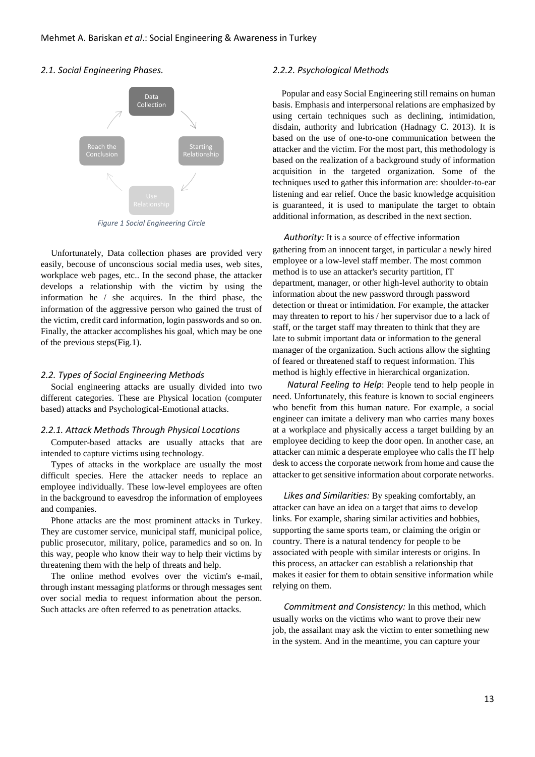# *2.1. Social Engineering Phases.*



*Figure 1 Social Engineering Circle*

Unfortunately, Data collection phases are provided very easily, becouse of unconscious social media uses, web sites, workplace web pages, etc.. In the second phase, the attacker develops a relationship with the victim by using the information he / she acquires. In the third phase, the information of the aggressive person who gained the trust of the victim, credit card information, login passwords and so on. Finally, the attacker accomplishes his goal, which may be one of the previous steps(Fig.1).

#### *2.2. Types of Social Engineering Methods*

Social engineering attacks are usually divided into two different categories. These are Physical location (computer based) attacks and Psychological-Emotional attacks.

#### *2.2.1. Attack Methods Through Physical Locations*

Computer-based attacks are usually attacks that are intended to capture victims using technology.

Types of attacks in the workplace are usually the most difficult species. Here the attacker needs to replace an employee individually. These low-level employees are often in the background to eavesdrop the information of employees and companies.

Phone attacks are the most prominent attacks in Turkey. They are customer service, municipal staff, municipal police, public prosecutor, military, police, paramedics and so on. In this way, people who know their way to help their victims by threatening them with the help of threats and help.

The online method evolves over the victim's e-mail, through instant messaging platforms or through messages sent over social media to request information about the person. Such attacks are often referred to as penetration attacks.

## *2.2.2. Psychological Methods*

 Popular and easy Social Engineering still remains on human basis. Emphasis and interpersonal relations are emphasized by using certain techniques such as declining, intimidation, disdain, authority and lubrication (Hadnagy C. 2013). It is based on the use of one-to-one communication between the attacker and the victim. For the most part, this methodology is based on the realization of a background study of information acquisition in the targeted organization. Some of the techniques used to gather this information are: shoulder-to-ear listening and ear relief. Once the basic knowledge acquisition is guaranteed, it is used to manipulate the target to obtain additional information, as described in the next section.

 *Authority:* It is a source of effective information gathering from an innocent target, in particular a newly hired employee or a low-level staff member. The most common method is to use an attacker's security partition, IT department, manager, or other high-level authority to obtain information about the new password through password detection or threat or intimidation. For example, the attacker may threaten to report to his / her supervisor due to a lack of staff, or the target staff may threaten to think that they are late to submit important data or information to the general manager of the organization. Such actions allow the sighting of feared or threatened staff to request information. This method is highly effective in hierarchical organization.

 *Natural Feeling to Help*: People tend to help people in need. Unfortunately, this feature is known to social engineers who benefit from this human nature. For example, a social engineer can imitate a delivery man who carries many boxes at a workplace and physically access a target building by an employee deciding to keep the door open. In another case, an attacker can mimic a desperate employee who calls the IT help desk to access the corporate network from home and cause the attacker to get sensitive information about corporate networks.

 *Likes and Similarities:* By speaking comfortably, an attacker can have an idea on a target that aims to develop links. For example, sharing similar activities and hobbies, supporting the same sports team, or claiming the origin or country. There is a natural tendency for people to be associated with people with similar interests or origins. In this process, an attacker can establish a relationship that makes it easier for them to obtain sensitive information while relying on them.

 *Commitment and Consistency:* In this method, which usually works on the victims who want to prove their new job, the assailant may ask the victim to enter something new in the system. And in the meantime, you can capture your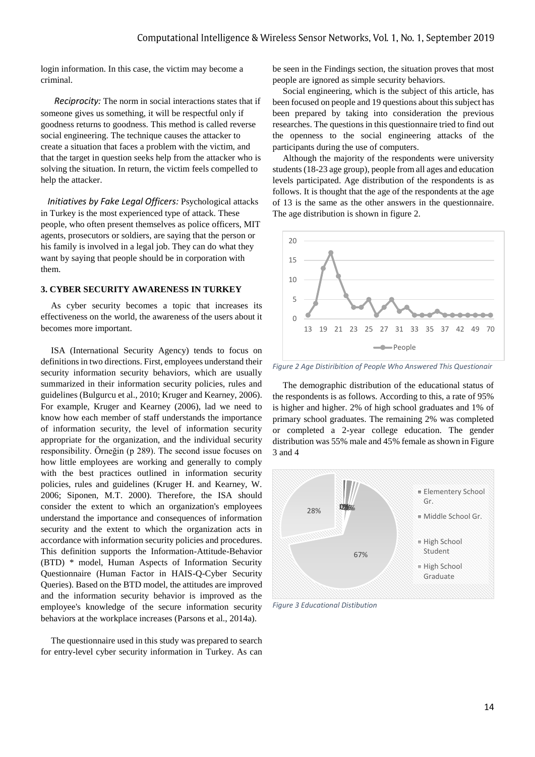login information. In this case, the victim may become a criminal.

 *Reciprocity:* The norm in social interactions states that if someone gives us something, it will be respectful only if goodness returns to goodness. This method is called reverse social engineering. The technique causes the attacker to create a situation that faces a problem with the victim, and that the target in question seeks help from the attacker who is solving the situation. In return, the victim feels compelled to help the attacker.

 *Initiatives by Fake Legal Officers:* Psychological attacks in Turkey is the most experienced type of attack. These people, who often present themselves as police officers, MIT agents, prosecutors or soldiers, are saying that the person or his family is involved in a legal job. They can do what they want by saying that people should be in corporation with them.

# **3. CYBER SECURITY AWARENESS IN TURKEY**

As cyber security becomes a topic that increases its effectiveness on the world, the awareness of the users about it becomes more important.

ISA (International Security Agency) tends to focus on definitions in two directions. First, employees understand their security information security behaviors, which are usually summarized in their information security policies, rules and guidelines (Bulgurcu et al., 2010; Kruger and Kearney, 2006). For example, Kruger and Kearney (2006), lad we need to know how each member of staff understands the importance of information security, the level of information security appropriate for the organization, and the individual security responsibility. Örneğin (p 289). The second issue focuses on how little employees are working and generally to comply with the best practices outlined in information security policies, rules and guidelines (Kruger H. and Kearney, W. 2006; Siponen, M.T. 2000). Therefore, the ISA should consider the extent to which an organization's employees understand the importance and consequences of information security and the extent to which the organization acts in accordance with information security policies and procedures. This definition supports the Information-Attitude-Behavior (BTD) \* model, Human Aspects of Information Security Questionnaire (Human Factor in HAIS-Q-Cyber Security Queries). Based on the BTD model, the attitudes are improved and the information security behavior is improved as the employee's knowledge of the secure information security behaviors at the workplace increases (Parsons et al., 2014a).

The questionnaire used in this study was prepared to search for entry-level cyber security information in Turkey. As can be seen in the Findings section, the situation proves that most people are ignored as simple security behaviors.

Social engineering, which is the subject of this article, has been focused on people and 19 questions about this subject has been prepared by taking into consideration the previous researches. The questions in this questionnaire tried to find out the openness to the social engineering attacks of the participants during the use of computers.

Although the majority of the respondents were university students (18-23 age group), people from all ages and education levels participated. Age distribution of the respondents is as follows. It is thought that the age of the respondents at the age of 13 is the same as the other answers in the questionnaire. The age distribution is shown in figure 2.



*Figure 2 Age Distiribition of People Who Answered This Questionair*

The demographic distribution of the educational status of the respondents is as follows. According to this, a rate of 95% is higher and higher. 2% of high school graduates and 1% of primary school graduates. The remaining 2% was completed or completed a 2-year college education. The gender distribution was 55% male and 45% female as shown in Figure 3 and 4



*Figure 3 Educational Distibution*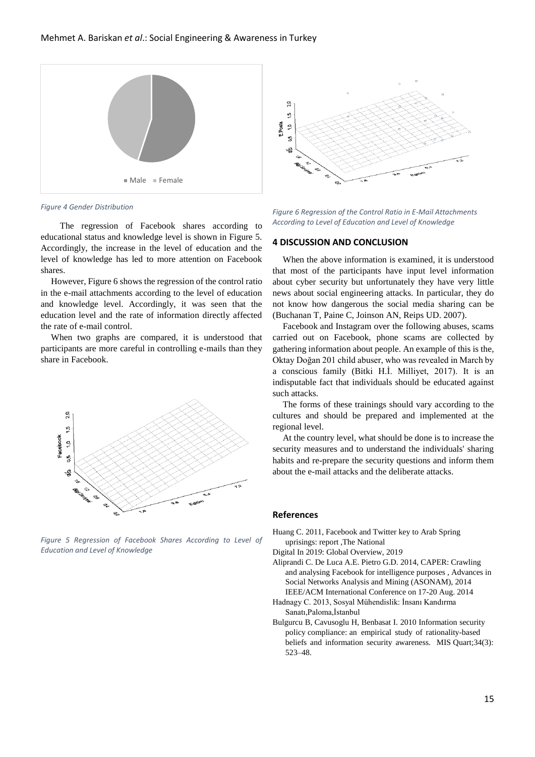

*Figure 4 Gender Distribution*

 The regression of Facebook shares according to educational status and knowledge level is shown in Figure 5. Accordingly, the increase in the level of education and the level of knowledge has led to more attention on Facebook shares.

However, Figure 6 shows the regression of the control ratio in the e-mail attachments according to the level of education and knowledge level. Accordingly, it was seen that the education level and the rate of information directly affected the rate of e-mail control.

When two graphs are compared, it is understood that participants are more careful in controlling e-mails than they share in Facebook.



*Figure 5 Regression of Facebook Shares According to Level of Education and Level of Knowledge*



*Figure 6 Regression of the Control Ratio in E-Mail Attachments According to Level of Education and Level of Knowledge*

## **4 DISCUSSION AND CONCLUSION**

When the above information is examined, it is understood that most of the participants have input level information about cyber security but unfortunately they have very little news about social engineering attacks. In particular, they do not know how dangerous the social media sharing can be (Buchanan T, Paine C, Joinson AN, Reips UD. 2007).

Facebook and Instagram over the following abuses, scams carried out on Facebook, phone scams are collected by gathering information about people. An example of this is the, Oktay Doğan 201 child abuser, who was revealed in March by a conscious family (Bitki H.İ. Milliyet, 2017). It is an indisputable fact that individuals should be educated against such attacks.

The forms of these trainings should vary according to the cultures and should be prepared and implemented at the regional level.

At the country level, what should be done is to increase the security measures and to understand the individuals' sharing habits and re-prepare the security questions and inform them about the e-mail attacks and the deliberate attacks.

## **References**

Huang C. 2011, Facebook and Twitter key to Arab Spring uprisings: report ,The National

Digital In 201*9*: Global Overview, 201*9*

- Aliprandi C. De Luca A.E. Pietro G.D. 2014, CAPER: Crawling and analysing Facebook for intelligence purposes , Advances in Social Networks Analysis and Mining (ASONAM), 2014 IEEE/ACM International Conference on 17-20 Aug. 2014
- Hadnagy C. 2013, Sosyal Mühendislik: İnsanı Kandırma Sanatı,Paloma,İstanbul

Bulgurcu B, Cavusoglu H, Benbasat I. 2010 Information security policy compliance: an empirical study of rationality-based beliefs and information security awareness. MIS Quart;34(3): 523–48.